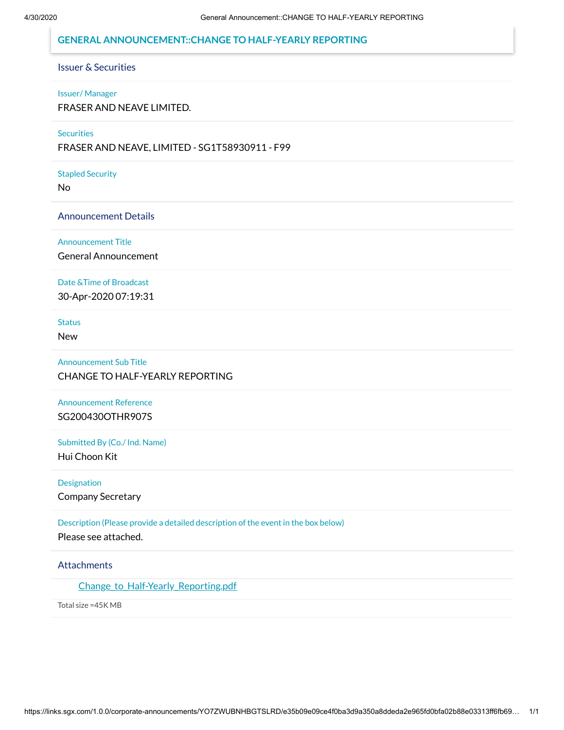# **GENERAL ANNOUNCEMENT::CHANGE TO HALF-YEARLY REPORTING**

# Issuer & Securities

#### Issuer/ Manager

FRASER AND NEAVE LIMITED.

#### **Securities**

FRASER AND NEAVE, LIMITED - SG1T58930911 - F99

#### Stapled Security

No

#### Announcement Details

Announcement Title

General Announcement

### Date &Time of Broadcast

30-Apr-2020 07:19:31

Status

New

Announcement Sub Title CHANGE TO HALF-YEARLY REPORTING

Announcement Reference SG200430OTHR907S

Submitted By (Co./ Ind. Name) Hui Choon Kit

Designation

Company Secretary

Description (Please provide a detailed description of the event in the box below)

Please see attached.

### **Attachments**

Change to Half-Yearly Reporting.pdf

Total size =45K MB